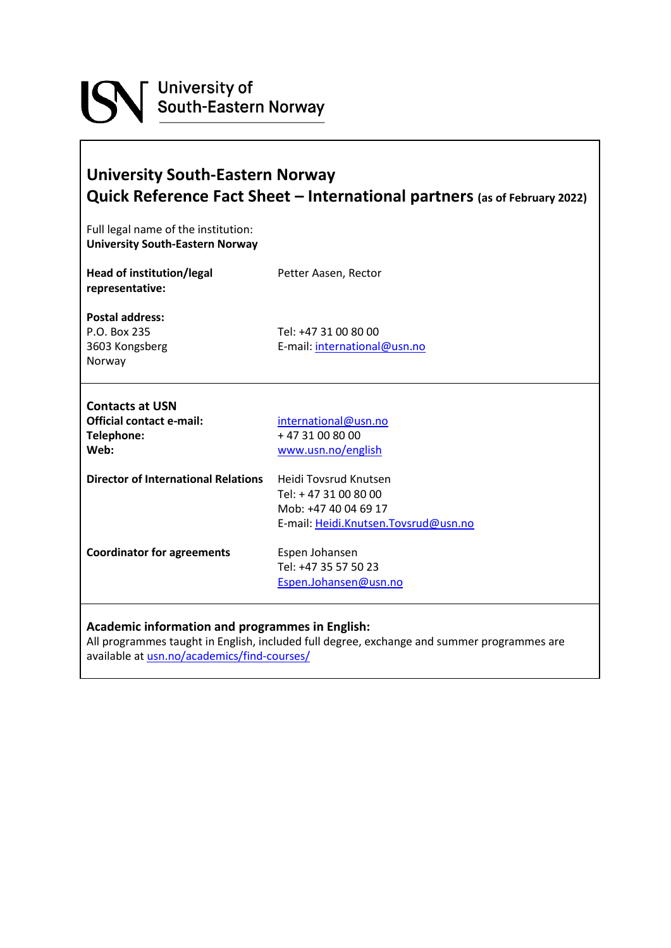

# **University South-Eastern Norway Quick Reference Fact Sheet – International partners (as of February 2022)**

Full legal name of the institution: **University South-Eastern Norway**

| Head of institution/legal<br>representative:                             | Petter Aasen, Rector                                                                                          |
|--------------------------------------------------------------------------|---------------------------------------------------------------------------------------------------------------|
| <b>Postal address:</b><br>P.O. Box 235<br>3603 Kongsberg<br>Norway       | Tel: +47 31 00 80 00<br>E-mail: international@usn.no                                                          |
| <b>Contacts at USN</b><br>Official contact e-mail:<br>Telephone:<br>Web: | international@usn.no<br>+47 31 00 80 00<br>www.usn.no/english                                                 |
| <b>Director of International Relations</b>                               | Heidi Tovsrud Knutsen<br>Tel: +47 31 00 80 00<br>Mob: +47 40 04 69 17<br>E-mail: Heidi.Knutsen.Tovsrud@usn.no |
| <b>Coordinator for agreements</b>                                        | Espen Johansen<br>Tel: +47 35 57 50 23                                                                        |

## **Academic information and programmes in English:**

All programmes taught in English, included full degree, exchange and summer programmes are available at [usn.no/academics/find-courses/](https://www.usn.no/academics/find-courses/)

[Espen.Johansen@usn.no](mailto:Espen.Johansen@usn.no)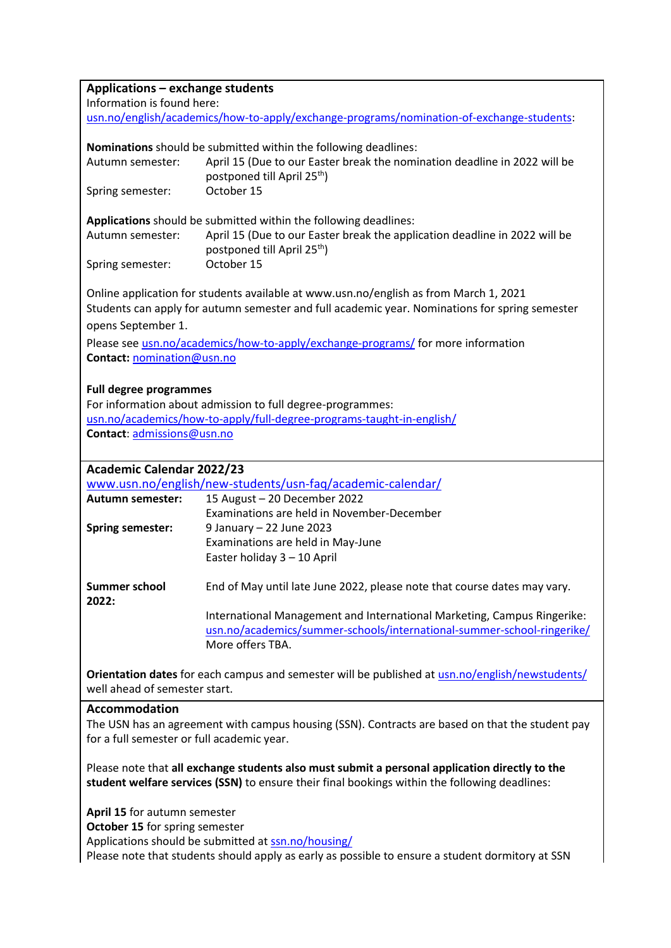Information is found here:

| usn.no/english/academics/how-to-apply/exchange-programs/nomination-of-exchange-students: |  |  |
|------------------------------------------------------------------------------------------|--|--|
|                                                                                          |  |  |

| <b>Nominations</b> should be submitted within the following deadlines:          |
|---------------------------------------------------------------------------------|
| A seath A.E. (Design A.e. and Excellent Array and a seather and a seather and a |

| Autumn semester: | April 15 (Due to our Easter break the nomination deadline in 2022 will be |
|------------------|---------------------------------------------------------------------------|
|                  | postponed till April 25 <sup>th</sup> )                                   |
| Spring semester: | October 15                                                                |

**Applications** should be submitted within the following deadlines:

Autumn semester: April 15 (Due to our Easter break the application deadline in 2022 will be Spring semester: postponed till April 25<sup>th</sup>) October 15

Online application for students available at www[.usn.no/english](https://www.usn.no/english/) as from March 1, 2021 Students can apply for autumn semester and full academic year. Nominations for spring semester opens September 1.

Please se[e usn.no/academics/how-to-apply/exchange-programs/](http://www.usn.no/academics/how-to-apply/exchange-programs/) for more information **Contact:** [nomination@usn.no](mailto:nomination@usn.no)

#### **Full degree programmes**

For information about admission to full degree-programmes: [usn.no/academics/how-to-apply/full-degree-programs-taught-in-english/](https://www.usn.no/academics/how-to-apply/full-degree-programs-taught-in-english/) **Contact**[: admissions@usn.no](mailto:admissions@usn.no)

## **Academic Calendar 2022/23**

[www.usn.no/english/new-students/usn-faq/academic-calendar/](http://www.usn.no/english/new-students/usn-faq/academic-calendar/)

| <b>Autumn semester:</b>       | 15 August – 20 December 2022                                                                                                                      |
|-------------------------------|---------------------------------------------------------------------------------------------------------------------------------------------------|
|                               | Examinations are held in November-December                                                                                                        |
| <b>Spring semester:</b>       | 9 January - 22 June 2023                                                                                                                          |
|                               | Examinations are held in May-June                                                                                                                 |
|                               | Easter holiday 3 - 10 April                                                                                                                       |
| <b>Summer school</b><br>2022: | End of May until late June 2022, please note that course dates may vary.                                                                          |
|                               | International Management and International Marketing, Campus Ringerike:<br>usn.no/academics/summer-schools/international-summer-school-ringerike/ |
|                               | More offers TBA.                                                                                                                                  |

**Orientation dates** for each campus and semester will be published a[t usn.no/english/newstudents/](http://www.usn.no/english/newstudents/) well ahead of semester start.

#### **Accommodation**

The USN has an agreement with campus housing (SSN). Contracts are based on that the student pay for a full semester or full academic year.

Please note that **all exchange students also must submit a personal application directly to the student welfare services (SSN)** to ensure their final bookings within the following deadlines:

**April 15** for autumn semester

**October 15** for spring semester

Applications should be submitted at [ssn.no/housing/](http://www.ssn.no/housing/)

Please note that students should apply as early as possible to ensure a student dormitory at SSN